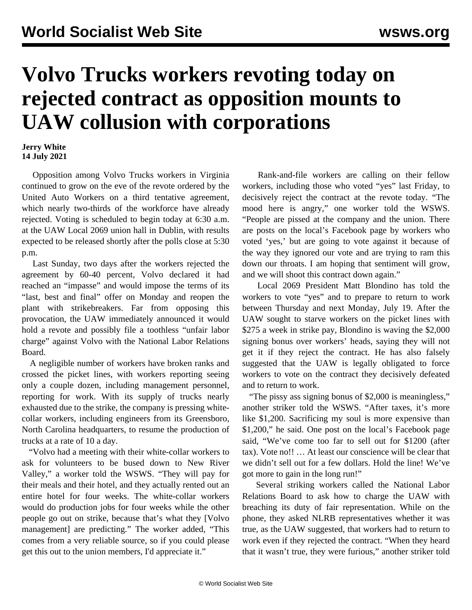## **Volvo Trucks workers revoting today on rejected contract as opposition mounts to UAW collusion with corporations**

## **Jerry White 14 July 2021**

 Opposition among Volvo Trucks workers in Virginia continued to grow on the eve of the revote ordered by the United Auto Workers on a third tentative agreement, which nearly two-thirds of the workforce have already rejected. Voting is scheduled to begin today at 6:30 a.m. at the UAW Local 2069 union hall in Dublin, with results expected to be released shortly after the polls close at 5:30 p.m.

 Last Sunday, two days after the workers rejected the agreement by 60-40 percent, Volvo declared it had reached an "impasse" and would impose the terms of its "last, best and final" offer on Monday and reopen the plant with strikebreakers. Far from opposing this provocation, the UAW immediately announced it would hold a revote and possibly file a toothless "unfair labor charge" against Volvo with the National Labor Relations Board.

 A negligible number of workers have broken ranks and crossed the picket lines, with workers reporting seeing only a couple dozen, including management personnel, reporting for work. With its supply of trucks nearly exhausted due to the strike, the company is pressing whitecollar workers, including engineers from its Greensboro, North Carolina headquarters, to resume the production of trucks at a rate of 10 a day.

 "Volvo had a meeting with their white-collar workers to ask for volunteers to be bused down to New River Valley," a worker told the WSWS. "They will pay for their meals and their hotel, and they actually rented out an entire hotel for four weeks. The white-collar workers would do production jobs for four weeks while the other people go out on strike, because that's what they [Volvo management] are predicting." The worker added, "This comes from a very reliable source, so if you could please get this out to the union members, I'd appreciate it."

 Rank-and-file workers are calling on their fellow workers, including those who voted "yes" last Friday, to decisively reject the contract at the revote today. "The mood here is angry," one worker told the WSWS. "People are pissed at the company and the union. There are posts on the local's Facebook page by workers who voted 'yes,' but are going to vote against it because of the way they ignored our vote and are trying to ram this down our throats. I am hoping that sentiment will grow, and we will shoot this contract down again."

 Local 2069 President Matt Blondino has told the workers to vote "yes" and to prepare to return to work between Thursday and next Monday, July 19. After the UAW sought to starve workers on the picket lines with \$275 a week in strike pay, Blondino is waving the \$2,000 signing bonus over workers' heads, saying they will not get it if they reject the contract. He has also falsely suggested that the UAW is legally obligated to force workers to vote on the contract they decisively defeated and to return to work.

 "The pissy ass signing bonus of \$2,000 is meaningless," another striker told the WSWS. "After taxes, it's more like \$1,200. Sacrificing my soul is more expensive than \$1,200," he said. One post on the local's Facebook page said, "We've come too far to sell out for \$1200 (after tax). Vote no!! … At least our conscience will be clear that we didn't sell out for a few dollars. Hold the line! We've got more to gain in the long run!"

 Several striking workers called the National Labor Relations Board to ask how to charge the UAW with breaching its duty of fair representation. While on the phone, they asked NLRB representatives whether it was true, as the UAW suggested, that workers had to return to work even if they rejected the contract. "When they heard that it wasn't true, they were furious," another striker told